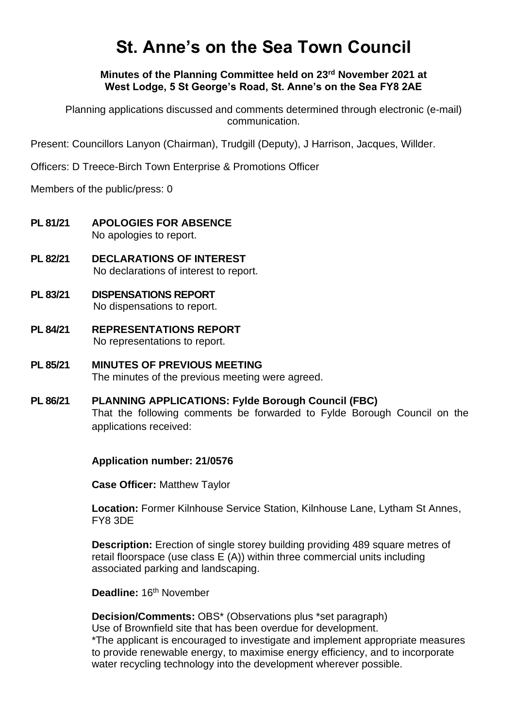# **St. Anne's on the Sea Town Council**

**Minutes of the Planning Committee held on 23rd November 2021 at West Lodge, 5 St George's Road, St. Anne's on the Sea FY8 2AE**

Planning applications discussed and comments determined through electronic (e-mail) communication.

Present: Councillors Lanyon (Chairman), Trudgill (Deputy), J Harrison, Jacques, Willder.

Officers: D Treece-Birch Town Enterprise & Promotions Officer

Members of the public/press: 0

- **PL 81/21 APOLOGIES FOR ABSENCE** No apologies to report.
- **PL 82/21 DECLARATIONS OF INTEREST** No declarations of interest to report.
- **PL 83/21 DISPENSATIONS REPORT** No dispensations to report.
- **PL 84/21 REPRESENTATIONS REPORT** No representations to report.
- **PL 85/21 MINUTES OF PREVIOUS MEETING** The minutes of the previous meeting were agreed.
- **PL 86/21 PLANNING APPLICATIONS: Fylde Borough Council (FBC)** That the following comments be forwarded to Fylde Borough Council on the applications received:

#### **Application number: 21/0576**

**Case Officer:** Matthew Taylor

**Location:** Former Kilnhouse Service Station, Kilnhouse Lane, Lytham St Annes, FY8 3DE

**Description:** Erection of single storey building providing 489 square metres of retail floorspace (use class E (A)) within three commercial units including associated parking and landscaping.

Deadline: 16<sup>th</sup> November

**Decision/Comments:** OBS\* (Observations plus \*set paragraph) Use of Brownfield site that has been overdue for development. \*The applicant is encouraged to investigate and implement appropriate measures

to provide renewable energy, to maximise energy efficiency, and to incorporate water recycling technology into the development wherever possible.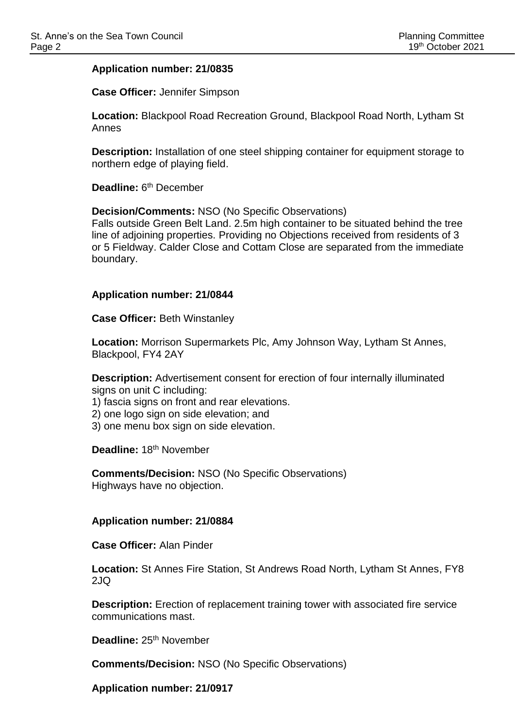## **Application number: 21/0835**

**Case Officer:** Jennifer Simpson

**Location:** Blackpool Road Recreation Ground, Blackpool Road North, Lytham St Annes

**Description:** Installation of one steel shipping container for equipment storage to northern edge of playing field.

Deadline: 6<sup>th</sup> December

**Decision/Comments:** NSO (No Specific Observations)

Falls outside Green Belt Land. 2.5m high container to be situated behind the tree line of adjoining properties. Providing no Objections received from residents of 3 or 5 Fieldway. Calder Close and Cottam Close are separated from the immediate boundary.

#### **Application number: 21/0844**

**Case Officer:** Beth Winstanley

**Location:** Morrison Supermarkets Plc, Amy Johnson Way, Lytham St Annes, Blackpool, FY4 2AY

**Description:** Advertisement consent for erection of four internally illuminated signs on unit C including:

1) fascia signs on front and rear elevations.

2) one logo sign on side elevation; and

3) one menu box sign on side elevation.

**Deadline:** 18th November

**Comments/Decision:** NSO (No Specific Observations) Highways have no objection.

#### **Application number: 21/0884**

**Case Officer:** Alan Pinder

**Location:** St Annes Fire Station, St Andrews Road North, Lytham St Annes, FY8 2JQ

**Description:** Erection of replacement training tower with associated fire service communications mast.

Deadline: 25<sup>th</sup> November

**Comments/Decision:** NSO (No Specific Observations)

**Application number: 21/0917**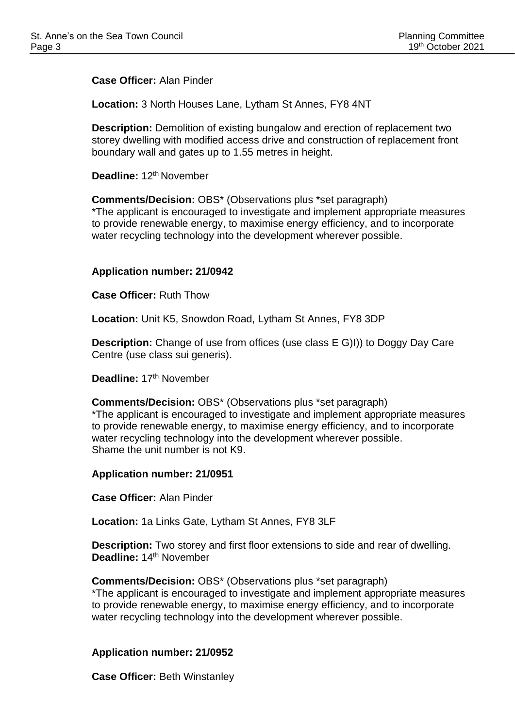**Case Officer:** Alan Pinder

**Location:** 3 North Houses Lane, Lytham St Annes, FY8 4NT

**Description:** Demolition of existing bungalow and erection of replacement two storey dwelling with modified access drive and construction of replacement front boundary wall and gates up to 1.55 metres in height.

Deadline: 12<sup>th</sup> November

**Comments/Decision:** OBS\* (Observations plus \*set paragraph)

\*The applicant is encouraged to investigate and implement appropriate measures to provide renewable energy, to maximise energy efficiency, and to incorporate water recycling technology into the development wherever possible.

## **Application number: 21/0942**

**Case Officer:** Ruth Thow

**Location:** Unit K5, Snowdon Road, Lytham St Annes, FY8 3DP

**Description:** Change of use from offices (use class E G)I)) to Doggy Day Care Centre (use class sui generis).

Deadline: 17<sup>th</sup> November

**Comments/Decision:** OBS\* (Observations plus \*set paragraph) \*The applicant is encouraged to investigate and implement appropriate measures to provide renewable energy, to maximise energy efficiency, and to incorporate water recycling technology into the development wherever possible. Shame the unit number is not K9.

**Application number: 21/0951**

**Case Officer:** Alan Pinder

**Location:** 1a Links Gate, Lytham St Annes, FY8 3LF

**Description:** Two storey and first floor extensions to side and rear of dwelling. Deadline: 14<sup>th</sup> November

**Comments/Decision:** OBS\* (Observations plus \*set paragraph)

\*The applicant is encouraged to investigate and implement appropriate measures to provide renewable energy, to maximise energy efficiency, and to incorporate water recycling technology into the development wherever possible.

# **Application number: 21/0952**

**Case Officer:** Beth Winstanley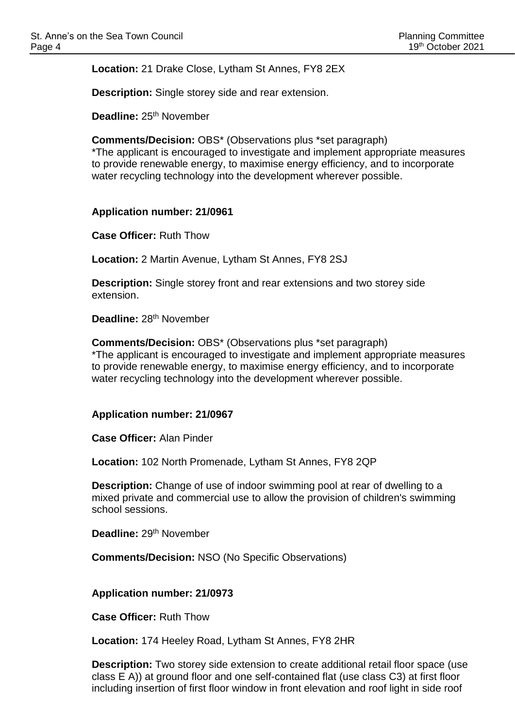**Location:** 21 Drake Close, Lytham St Annes, FY8 2EX

**Description:** Single storey side and rear extension.

**Deadline: 25<sup>th</sup> November** 

**Comments/Decision:** OBS\* (Observations plus \*set paragraph)

\*The applicant is encouraged to investigate and implement appropriate measures to provide renewable energy, to maximise energy efficiency, and to incorporate water recycling technology into the development wherever possible.

## **Application number: 21/0961**

**Case Officer:** Ruth Thow

**Location:** 2 Martin Avenue, Lytham St Annes, FY8 2SJ

**Description:** Single storey front and rear extensions and two storey side extension.

Deadline: 28<sup>th</sup> November

**Comments/Decision:** OBS\* (Observations plus \*set paragraph) \*The applicant is encouraged to investigate and implement appropriate measures to provide renewable energy, to maximise energy efficiency, and to incorporate water recycling technology into the development wherever possible.

## **Application number: 21/0967**

**Case Officer:** Alan Pinder

**Location:** 102 North Promenade, Lytham St Annes, FY8 2QP

**Description:** Change of use of indoor swimming pool at rear of dwelling to a mixed private and commercial use to allow the provision of children's swimming school sessions.

Deadline: 29<sup>th</sup> November

**Comments/Decision:** NSO (No Specific Observations)

**Application number: 21/0973**

**Case Officer:** Ruth Thow

**Location:** 174 Heeley Road, Lytham St Annes, FY8 2HR

**Description:** Two storey side extension to create additional retail floor space (use class E A)) at ground floor and one self-contained flat (use class C3) at first floor including insertion of first floor window in front elevation and roof light in side roof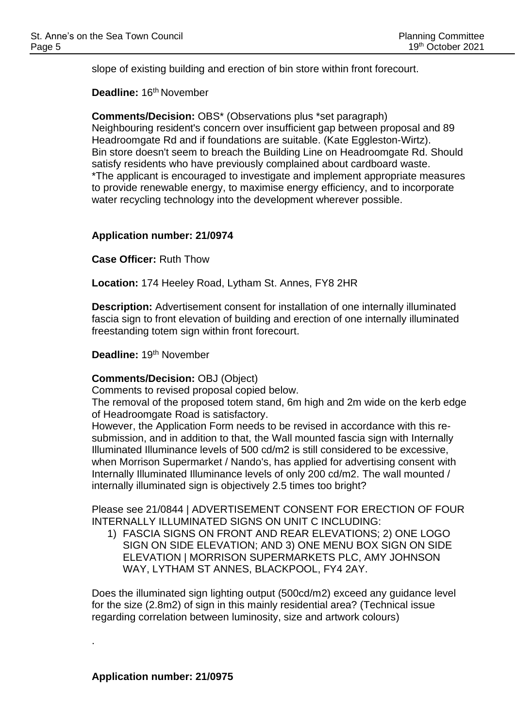slope of existing building and erection of bin store within front forecourt.

**Deadline:** 16th November

**Comments/Decision:** OBS\* (Observations plus \*set paragraph) Neighbouring resident's concern over insufficient gap between proposal and 89 Headroomgate Rd and if foundations are suitable. (Kate Eggleston-Wirtz). Bin store doesn't seem to breach the Building Line on Headroomgate Rd. Should satisfy residents who have previously complained about cardboard waste. \*The applicant is encouraged to investigate and implement appropriate measures to provide renewable energy, to maximise energy efficiency, and to incorporate water recycling technology into the development wherever possible.

## **Application number: 21/0974**

**Case Officer:** Ruth Thow

**Location:** 174 Heeley Road, Lytham St. Annes, FY8 2HR

**Description:** Advertisement consent for installation of one internally illuminated fascia sign to front elevation of building and erection of one internally illuminated freestanding totem sign within front forecourt.

**Deadline:** 19th November

## **Comments/Decision:** OBJ (Object)

Comments to revised proposal copied below.

The removal of the proposed totem stand, 6m high and 2m wide on the kerb edge of Headroomgate Road is satisfactory.

However, the Application Form needs to be revised in accordance with this resubmission, and in addition to that, the Wall mounted fascia sign with Internally Illuminated Illuminance levels of 500 cd/m2 is still considered to be excessive, when Morrison Supermarket / Nando's, has applied for advertising consent with Internally Illuminated Illuminance levels of only 200 cd/m2. The wall mounted / internally illuminated sign is objectively 2.5 times too bright?

Please see 21/0844 | ADVERTISEMENT CONSENT FOR ERECTION OF FOUR INTERNALLY ILLUMINATED SIGNS ON UNIT C INCLUDING:

1) FASCIA SIGNS ON FRONT AND REAR ELEVATIONS; 2) ONE LOGO SIGN ON SIDE ELEVATION; AND 3) ONE MENU BOX SIGN ON SIDE ELEVATION | MORRISON SUPERMARKETS PLC, AMY JOHNSON WAY, LYTHAM ST ANNES, BLACKPOOL, FY4 2AY.

Does the illuminated sign lighting output (500cd/m2) exceed any guidance level for the size (2.8m2) of sign in this mainly residential area? (Technical issue regarding correlation between luminosity, size and artwork colours)

.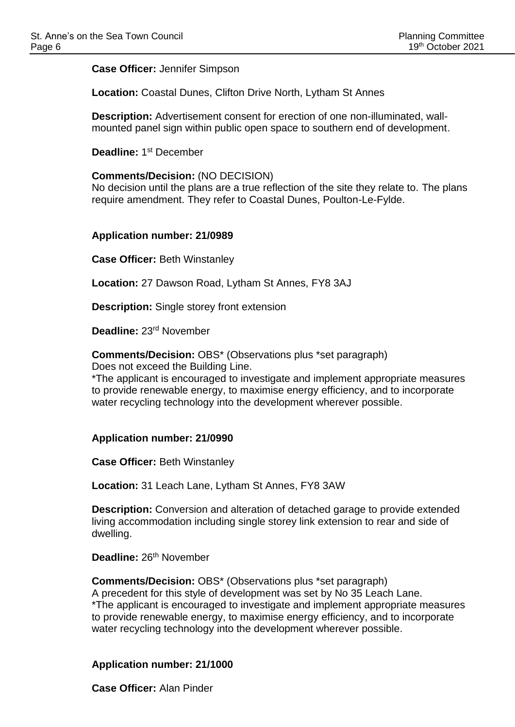**Case Officer:** Jennifer Simpson

**Location:** Coastal Dunes, Clifton Drive North, Lytham St Annes

**Description:** Advertisement consent for erection of one non-illuminated, wallmounted panel sign within public open space to southern end of development.

Deadline: 1<sup>st</sup> December

## **Comments/Decision:** (NO DECISION)

No decision until the plans are a true reflection of the site they relate to. The plans require amendment. They refer to Coastal Dunes, Poulton-Le-Fylde.

#### **Application number: 21/0989**

**Case Officer:** Beth Winstanley

**Location:** 27 Dawson Road, Lytham St Annes, FY8 3AJ

**Description:** Single storey front extension

**Deadline:** 23rd November

**Comments/Decision:** OBS\* (Observations plus \*set paragraph) Does not exceed the Building Line.

\*The applicant is encouraged to investigate and implement appropriate measures to provide renewable energy, to maximise energy efficiency, and to incorporate water recycling technology into the development wherever possible.

## **Application number: 21/0990**

**Case Officer:** Beth Winstanley

**Location:** 31 Leach Lane, Lytham St Annes, FY8 3AW

**Description:** Conversion and alteration of detached garage to provide extended living accommodation including single storey link extension to rear and side of dwelling.

**Deadline:** 26th November

**Comments/Decision:** OBS\* (Observations plus \*set paragraph) A precedent for this style of development was set by No 35 Leach Lane. \*The applicant is encouraged to investigate and implement appropriate measures to provide renewable energy, to maximise energy efficiency, and to incorporate water recycling technology into the development wherever possible.

## **Application number: 21/1000**

**Case Officer:** Alan Pinder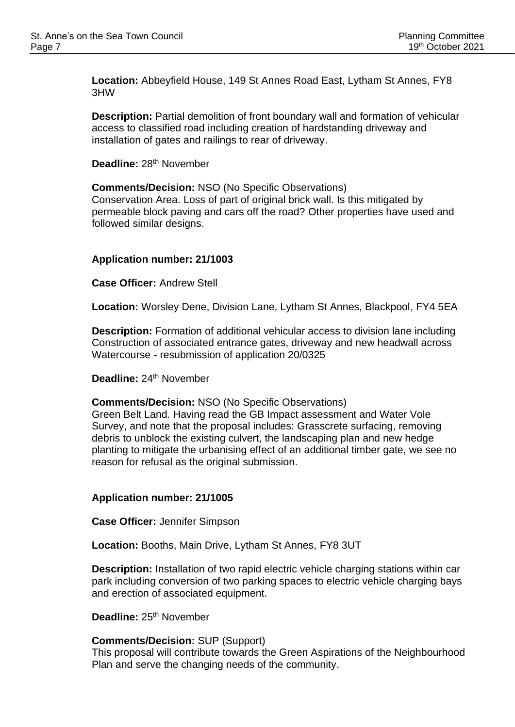**Location:** Abbeyfield House, 149 St Annes Road East, Lytham St Annes, FY8 3HW

**Description:** Partial demolition of front boundary wall and formation of vehicular access to classified road including creation of hardstanding driveway and installation of gates and railings to rear of driveway.

**Deadline: 28<sup>th</sup> November** 

followed similar designs.

**Comments/Decision:** NSO (No Specific Observations) Conservation Area. Loss of part of original brick wall. Is this mitigated by permeable block paving and cars off the road? Other properties have used and

# **Application number: 21/1003**

**Case Officer:** Andrew Stell

**Location:** Worsley Dene, Division Lane, Lytham St Annes, Blackpool, FY4 5EA

**Description:** Formation of additional vehicular access to division lane including Construction of associated entrance gates, driveway and new headwall across Watercourse - resubmission of application 20/0325

Deadline: 24<sup>th</sup> November

#### **Comments/Decision:** NSO (No Specific Observations)

Green Belt Land. Having read the GB Impact assessment and Water Vole Survey, and note that the proposal includes: Grasscrete surfacing, removing debris to unblock the existing culvert, the landscaping plan and new hedge planting to mitigate the urbanising effect of an additional timber gate, we see no reason for refusal as the original submission.

## **Application number: 21/1005**

**Case Officer:** Jennifer Simpson

**Location:** Booths, Main Drive, Lytham St Annes, FY8 3UT

**Description:** Installation of two rapid electric vehicle charging stations within car park including conversion of two parking spaces to electric vehicle charging bays and erection of associated equipment.

Deadline: 25<sup>th</sup> November

## **Comments/Decision:** SUP (Support)

This proposal will contribute towards the Green Aspirations of the Neighbourhood Plan and serve the changing needs of the community.